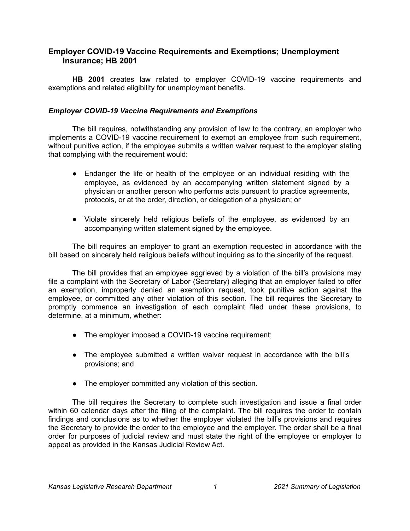# **Employer COVID-19 Vaccine Requirements and Exemptions; Unemployment Insurance; HB 2001**

**HB 2001** creates law related to employer COVID-19 vaccine requirements and exemptions and related eligibility for unemployment benefits.

## *Employer COVID-19 Vaccine Requirements and Exemptions*

The bill requires, notwithstanding any provision of law to the contrary, an employer who implements a COVID-19 vaccine requirement to exempt an employee from such requirement, without punitive action, if the employee submits a written waiver request to the employer stating that complying with the requirement would:

- Endanger the life or health of the employee or an individual residing with the employee, as evidenced by an accompanying written statement signed by a physician or another person who performs acts pursuant to practice agreements, protocols, or at the order, direction, or delegation of a physician; or
- Violate sincerely held religious beliefs of the employee, as evidenced by an accompanying written statement signed by the employee.

The bill requires an employer to grant an exemption requested in accordance with the bill based on sincerely held religious beliefs without inquiring as to the sincerity of the request.

The bill provides that an employee aggrieved by a violation of the bill's provisions may file a complaint with the Secretary of Labor (Secretary) alleging that an employer failed to offer an exemption, improperly denied an exemption request, took punitive action against the employee, or committed any other violation of this section. The bill requires the Secretary to promptly commence an investigation of each complaint filed under these provisions, to determine, at a minimum, whether:

- The employer imposed a COVID-19 vaccine requirement;
- The employee submitted a written waiver request in accordance with the bill's provisions; and
- The employer committed any violation of this section.

The bill requires the Secretary to complete such investigation and issue a final order within 60 calendar days after the filing of the complaint. The bill requires the order to contain findings and conclusions as to whether the employer violated the bill's provisions and requires the Secretary to provide the order to the employee and the employer. The order shall be a final order for purposes of judicial review and must state the right of the employee or employer to appeal as provided in the Kansas Judicial Review Act.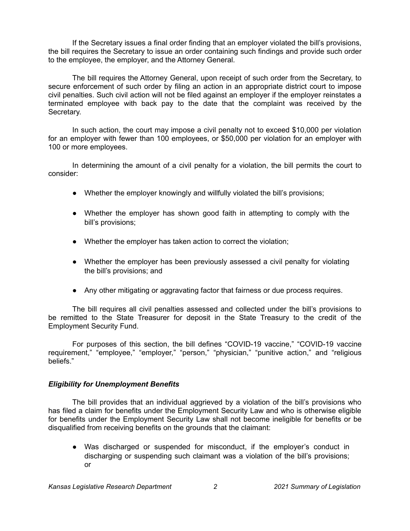If the Secretary issues a final order finding that an employer violated the bill's provisions, the bill requires the Secretary to issue an order containing such findings and provide such order to the employee, the employer, and the Attorney General.

The bill requires the Attorney General, upon receipt of such order from the Secretary, to secure enforcement of such order by filing an action in an appropriate district court to impose civil penalties. Such civil action will not be filed against an employer if the employer reinstates a terminated employee with back pay to the date that the complaint was received by the Secretary.

In such action, the court may impose a civil penalty not to exceed \$10,000 per violation for an employer with fewer than 100 employees, or \$50,000 per violation for an employer with 100 or more employees.

In determining the amount of a civil penalty for a violation, the bill permits the court to consider:

- Whether the employer knowingly and willfully violated the bill's provisions;
- Whether the employer has shown good faith in attempting to comply with the bill's provisions;
- Whether the employer has taken action to correct the violation;
- Whether the employer has been previously assessed a civil penalty for violating the bill's provisions; and
- Any other mitigating or aggravating factor that fairness or due process requires.

The bill requires all civil penalties assessed and collected under the bill's provisions to be remitted to the State Treasurer for deposit in the State Treasury to the credit of the Employment Security Fund.

For purposes of this section, the bill defines "COVID-19 vaccine," "COVID-19 vaccine requirement," "employee," "employer," "person," "physician," "punitive action," and "religious beliefs."

## *Eligibility for Unemployment Benefits*

The bill provides that an individual aggrieved by a violation of the bill's provisions who has filed a claim for benefits under the Employment Security Law and who is otherwise eligible for benefits under the Employment Security Law shall not become ineligible for benefits or be disqualified from receiving benefits on the grounds that the claimant:

● Was discharged or suspended for misconduct, if the employer's conduct in discharging or suspending such claimant was a violation of the bill's provisions; or